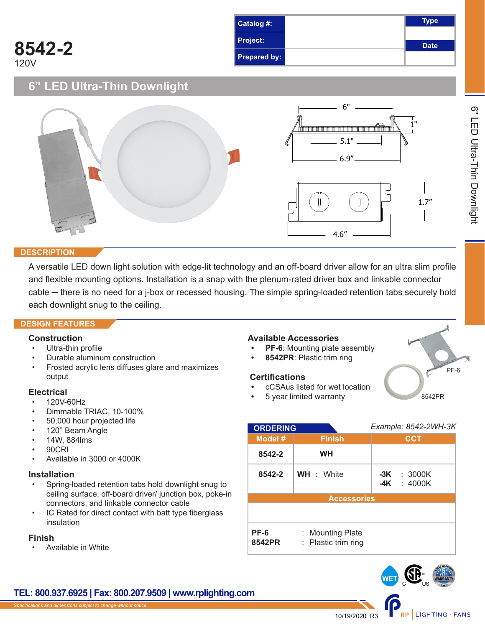| Catalog #:          | <b>Type</b> |
|---------------------|-------------|
| Project:            | <b>Date</b> |
| <b>Prepared by:</b> |             |

# **6" LED Ultra-Thin Downlight**



## **DESCRIPTION**

**8542-2**

120V

A versatile LED down light solution with edge-lit technology and an off-board driver allow for an ultra slim profile and flexible mounting options. Installation is a snap with the plenum-rated driver box and linkable connector cable — there is no need for a j-box or recessed housing. The simple spring-loaded retention tabs securely hold each downlight snug to the ceiling.

## **DESIGN FEATURES**

## **Construction**

- Ultra-thin profile
- Durable aluminum construction
- Frosted acrylic lens diffuses glare and maximizes output

## **Electrical**

- 120V-60Hz
- Dimmable TRIAC, 10-100%
- 50,000 hour projected life
- 120° Beam Angle
- 14W, 884lms
- 90CRI
- Available in 3000 or 4000K

## **Installation**

- Spring-loaded retention tabs hold downlight snug to ceiling surface, off-board driver/ junction box, poke-in connectors, and linkable connector cable
- IC Rated for direct contact with batt type fiberglass insulation

## **Finish**

• Available in White

# **Available Accessories**

- **PF-6:** Mounting plate assembly
- **8542PR**: Plastic trim ring

## **Certifications**

- $H$ U6WDULWHG
- **•** cCSAus listed for wet location
- **•** 5 year limited warranty

| <b>ORDERING GUIDE</b> |                                         | Example: 8542-2WH-3K            |  |
|-----------------------|-----------------------------------------|---------------------------------|--|
| Model #               | <b>Finish</b>                           | <b>CCT</b>                      |  |
| 8542-2                | WН                                      |                                 |  |
| 8542-2                | <b>WH</b> : White                       | $-3K$ : 3000K<br>-4K<br>: 4000K |  |
| <b>Accessories</b>    |                                         |                                 |  |
|                       |                                         |                                 |  |
| PF-6<br>8542PR        | : Mounting Plate<br>: Plastic trim ring |                                 |  |



# **TEL: 800.937.6925 | Fax: 800.207.9509 | www.rplighting.com**

PF-6

8542PR